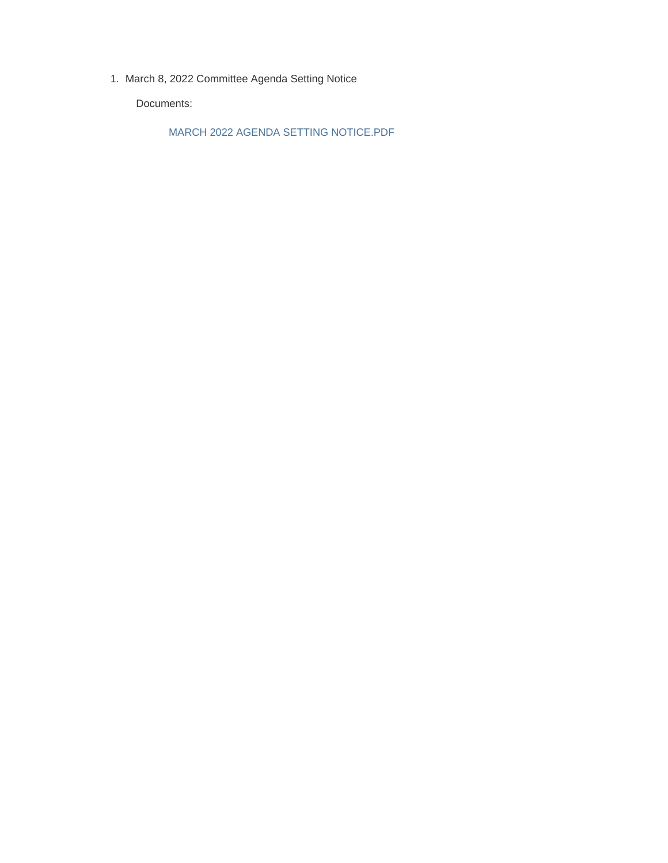1. March 8, 2022 Committee Agenda Setting Notice

Documents:

MARCH 2022 AGENDA SETTING NOTICE.PDF